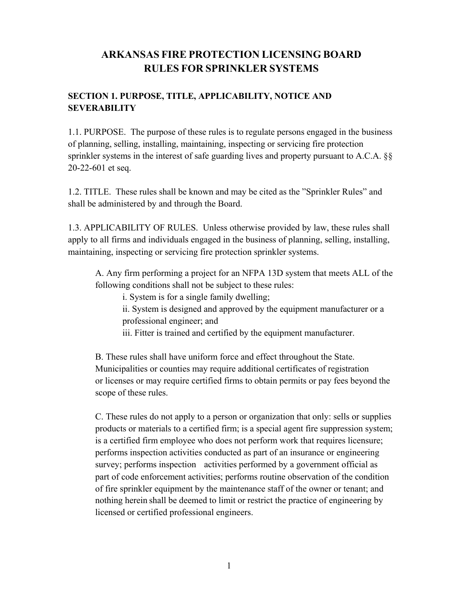# **ARKANSAS FIRE PROTECTION LICENSING BOARD RULES FOR SPRINKLER SYSTEMS**

# **SECTION 1. PURPOSE, TITLE, APPLICABILITY, NOTICE AND SEVERABILITY**

1.1. PURPOSE. The purpose of these rules is to regulate persons engaged in the business of planning, selling, installing, maintaining, inspecting or servicing fire protection sprinkler systems in the interest of safe guarding lives and property pursuant to A.C.A. §§ 20-22-601 et seq.

1.2. TITLE. These rules shall be known and may be cited as the "Sprinkler Rules" and shall be administered by and through the Board.

1.3. APPLICABILITY OF RULES. Unless otherwise provided by law, these rules shall apply to all firms and individuals engaged in the business of planning, selling, installing, maintaining, inspecting or servicing fire protection sprinkler systems.

A. Any firm performing a project for an NFPA 13D system that meets ALL of the following conditions shall not be subject to these rules:

i. System is for a single family dwelling;

ii. System is designed and approved by the equipment manufacturer or a professional engineer; and

iii. Fitter is trained and certified by the equipment manufacturer.

B. These rules shall have uniform force and effect throughout the State. Municipalities or counties may require additional certificates of registration or licenses or may require certified firms to obtain permits or pay fees beyond the scope of these rules.

C. These rules do not apply to a person or organization that only: sells or supplies products or materials to a certified firm; is a special agent fire suppression system; is a certified firm employee who does not perform work that requires licensure; performs inspection activities conducted as part of an insurance or engineering survey; performs inspection activities performed by a government official as part of code enforcement activities; performs routine observation of the condition of fire sprinkler equipment by the maintenance staff of the owner or tenant; and nothing herein shall be deemed to limit or restrict the practice of engineering by licensed or certified professional engineers.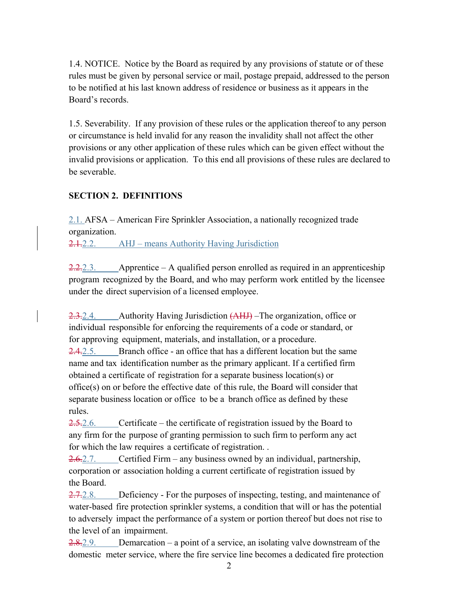1.4. NOTICE. Notice by the Board as required by any provisions of statute or of these rules must be given by personal service or mail, postage prepaid, addressed to the person to be notified at his last known address of residence or business as it appears in the Board's records.

1.5. Severability. If any provision of these rules or the application thereof to any person or circumstance is held invalid for any reason the invalidity shall not affect the other provisions or any other application of these rules which can be given effect without the invalid provisions or application. To this end all provisions of these rules are declared to be severable.

# **SECTION 2. DEFINITIONS**

2.1. AFSA – American Fire Sprinkler Association, a nationally recognized trade organization.

2.1.2.2. AHJ – means Authority Having Jurisdiction

 $2.2.2.3.$  Apprentice – A qualified person enrolled as required in an apprenticeship program recognized by the Board, and who may perform work entitled by the licensee under the direct supervision of a licensed employee.

2.3.2.4. Authority Having Jurisdiction (AHJ) –The organization, office or individual responsible for enforcing the requirements of a code or standard, or for approving equipment, materials, and installation, or a procedure. 2.4.2.5. Branch office - an office that has a different location but the same name and tax identification number as the primary applicant. If a certified firm obtained a certificate of registration for a separate business location(s) or office(s) on or before the effective date of this rule, the Board will consider that separate business location or office to be a branch office as defined by these rules.

2.5.2.6. Certificate – the certificate of registration issued by the Board to any firm for the purpose of granting permission to such firm to perform any act for which the law requires a certificate of registration. .

2.6.2.7. Certified Firm – any business owned by an individual, partnership, corporation or association holding a current certificate of registration issued by the Board.

2.7.2.8. Deficiency - For the purposes of inspecting, testing, and maintenance of water-based fire protection sprinkler systems, a condition that will or has the potential to adversely impact the performance of a system or portion thereof but does not rise to the level of an impairment.

 $2.8.2.9.$  Demarcation – a point of a service, an isolating valve downstream of the domestic meter service, where the fire service line becomes a dedicated fire protection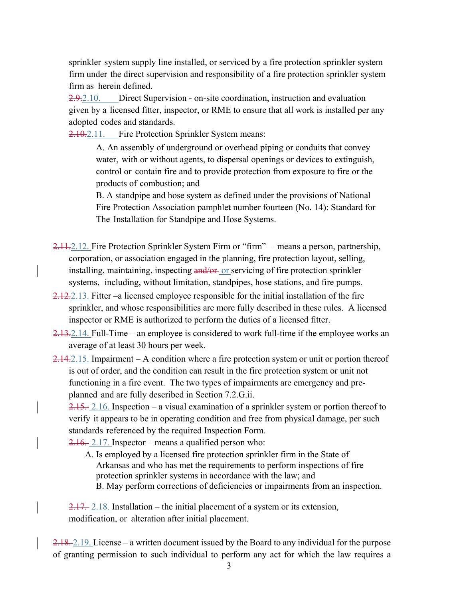sprinkler system supply line installed, or serviced by a fire protection sprinkler system firm under the direct supervision and responsibility of a fire protection sprinkler system firm as herein defined.

2.9.2.10. Direct Supervision - on-site coordination, instruction and evaluation given by a licensed fitter, inspector, or RME to ensure that all work is installed per any adopted codes and standards.

2.10.2.11. Fire Protection Sprinkler System means:

A. An assembly of underground or overhead piping or conduits that convey water, with or without agents, to dispersal openings or devices to extinguish, control or contain fire and to provide protection from exposure to fire or the products of combustion; and

B. A standpipe and hose system as defined under the provisions of National Fire Protection Association pamphlet number fourteen (No. 14): Standard for The Installation for Standpipe and Hose Systems.

2.11.2.12. Fire Protection Sprinkler System Firm or "firm" – means a person, partnership, corporation, or association engaged in the planning, fire protection layout, selling, installing, maintaining, inspecting and/or or servicing of fire protection sprinkler systems, including, without limitation, standpipes, hose stations, and fire pumps.

- 2.12.2.13. Fitter –a licensed employee responsible for the initial installation of the fire sprinkler, and whose responsibilities are more fully described in these rules. A licensed inspector or RME is authorized to perform the duties of a licensed fitter.
- 2.13.2.14. Full-Time an employee is considered to work full-time if the employee works an average of at least 30 hours per week.
- 2.14.2.15. Impairment A condition where a fire protection system or unit or portion thereof is out of order, and the condition can result in the fire protection system or unit not functioning in a fire event. The two types of impairments are emergency and preplanned and are fully described in Section 7.2.G.ii.

2.15. 2.16. Inspection – a visual examination of a sprinkler system or portion thereof to verify it appears to be in operating condition and free from physical damage, per such standards referenced by the required Inspection Form.

 $2.16. 2.17$ . Inspector – means a qualified person who:

A. Is employed by a licensed fire protection sprinkler firm in the State of Arkansas and who has met the requirements to perform inspections of fire protection sprinkler systems in accordance with the law; and B. May perform corrections of deficiencies or impairments from an inspection.

2.17. 2.18. Installation – the initial placement of a system or its extension, modification, or alteration after initial placement.

2.18. 2.19. License – a written document issued by the Board to any individual for the purpose of granting permission to such individual to perform any act for which the law requires a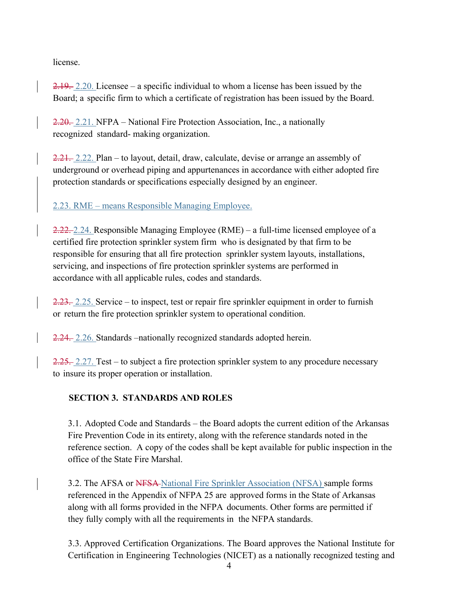license.

2.19. 2.20. Licensee – a specific individual to whom a license has been issued by the Board; a specific firm to which a certificate of registration has been issued by the Board.

2.20. 2.21. NFPA – National Fire Protection Association, Inc., a nationally recognized standard- making organization.

2.21. 2.22. Plan – to layout, detail, draw, calculate, devise or arrange an assembly of underground or overhead piping and appurtenances in accordance with either adopted fire protection standards or specifications especially designed by an engineer.

# 2.23. RME – means Responsible Managing Employee.

2.22. 2.24. Responsible Managing Employee (RME) – a full-time licensed employee of a certified fire protection sprinkler system firm who is designated by that firm to be responsible for ensuring that all fire protection sprinkler system layouts, installations, servicing, and inspections of fire protection sprinkler systems are performed in accordance with all applicable rules, codes and standards.

2.23. 2.25. Service – to inspect, test or repair fire sprinkler equipment in order to furnish or return the fire protection sprinkler system to operational condition.

2.24. 2.26. Standards –nationally recognized standards adopted herein.

 $2.25$ . 2.27. Test – to subject a fire protection sprinkler system to any procedure necessary to insure its proper operation or installation.

# **SECTION 3. STANDARDS AND ROLES**

3.1. Adopted Code and Standards – the Board adopts the current edition of the Arkansas Fire Prevention Code in its entirety, along with the reference standards noted in the reference section. A copy of the codes shall be kept available for public inspection in the office of the State Fire Marshal.

3.2. The AFSA or NFSA-National Fire Sprinkler Association (NFSA) sample forms referenced in the Appendix of NFPA 25 are approved forms in the State of Arkansas along with all forms provided in the NFPA documents. Other forms are permitted if they fully comply with all the requirements in the NFPA standards.

3.3. Approved Certification Organizations. The Board approves the National Institute for Certification in Engineering Technologies (NICET) as a nationally recognized testing and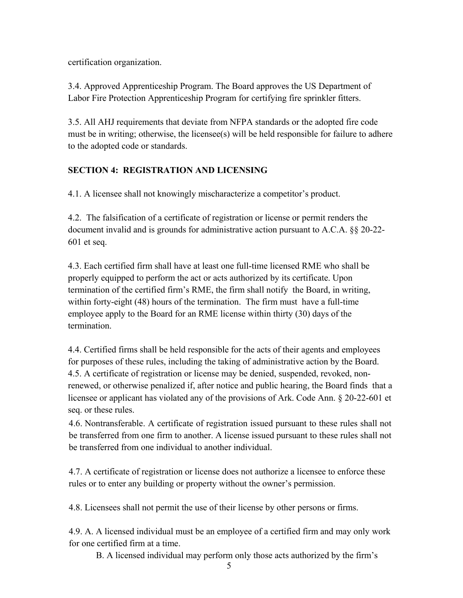certification organization.

3.4. Approved Apprenticeship Program. The Board approves the US Department of Labor Fire Protection Apprenticeship Program for certifying fire sprinkler fitters.

3.5. All AHJ requirements that deviate from NFPA standards or the adopted fire code must be in writing; otherwise, the licensee(s) will be held responsible for failure to adhere to the adopted code or standards.

# **SECTION 4: REGISTRATION AND LICENSING**

4.1. A licensee shall not knowingly mischaracterize a competitor's product.

4.2. The falsification of a certificate of registration or license or permit renders the document invalid and is grounds for administrative action pursuant to A.C.A. §§ 20-22- 601 et seq.

4.3. Each certified firm shall have at least one full-time licensed RME who shall be properly equipped to perform the act or acts authorized by its certificate. Upon termination of the certified firm's RME, the firm shall notify the Board, in writing, within forty-eight (48) hours of the termination. The firm must have a full-time employee apply to the Board for an RME license within thirty (30) days of the termination.

4.4. Certified firms shall be held responsible for the acts of their agents and employees for purposes of these rules, including the taking of administrative action by the Board. 4.5. A certificate of registration or license may be denied, suspended, revoked, nonrenewed, or otherwise penalized if, after notice and public hearing, the Board finds that a licensee or applicant has violated any of the provisions of Ark. Code Ann. § 20-22-601 et seq. or these rules.

4.6. Nontransferable. A certificate of registration issued pursuant to these rules shall not be transferred from one firm to another. A license issued pursuant to these rules shall not be transferred from one individual to another individual.

4.7. A certificate of registration or license does not authorize a licensee to enforce these rules or to enter any building or property without the owner's permission.

4.8. Licensees shall not permit the use of their license by other persons or firms.

4.9. A. A licensed individual must be an employee of a certified firm and may only work for one certified firm at a time.

B. A licensed individual may perform only those acts authorized by the firm's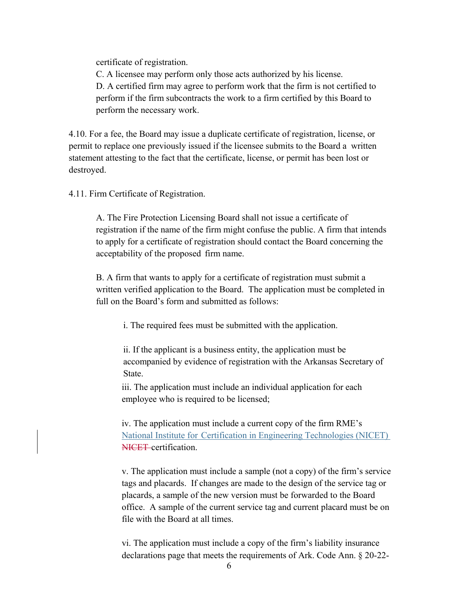certificate of registration.

C. A licensee may perform only those acts authorized by his license. D. A certified firm may agree to perform work that the firm is not certified to perform if the firm subcontracts the work to a firm certified by this Board to perform the necessary work.

4.10. For a fee, the Board may issue a duplicate certificate of registration, license, or permit to replace one previously issued if the licensee submits to the Board a written statement attesting to the fact that the certificate, license, or permit has been lost or destroyed.

4.11. Firm Certificate of Registration.

A. The Fire Protection Licensing Board shall not issue a certificate of registration if the name of the firm might confuse the public. A firm that intends to apply for a certificate of registration should contact the Board concerning the acceptability of the proposed firm name.

B. A firm that wants to apply for a certificate of registration must submit a written verified application to the Board. The application must be completed in full on the Board's form and submitted as follows:

i. The required fees must be submitted with the application.

ii. If the applicant is a business entity, the application must be accompanied by evidence of registration with the Arkansas Secretary of State.

iii. The application must include an individual application for each employee who is required to be licensed;

iv. The application must include a current copy of the firm RME's National Institute for Certification in Engineering Technologies (NICET) NICET certification.

v. The application must include a sample (not a copy) of the firm's service tags and placards. If changes are made to the design of the service tag or placards, a sample of the new version must be forwarded to the Board office. A sample of the current service tag and current placard must be on file with the Board at all times.

vi. The application must include a copy of the firm's liability insurance declarations page that meets the requirements of Ark. Code Ann. § 20-22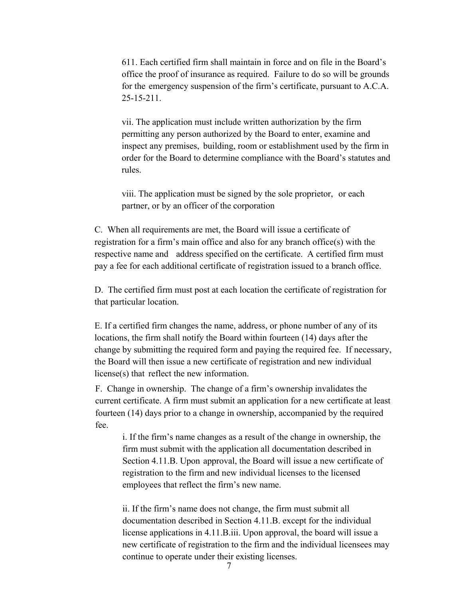611. Each certified firm shall maintain in force and on file in the Board's office the proof of insurance as required. Failure to do so will be grounds for the emergency suspension of the firm's certificate, pursuant to A.C.A. 25-15-211.

vii. The application must include written authorization by the firm permitting any person authorized by the Board to enter, examine and inspect any premises, building, room or establishment used by the firm in order for the Board to determine compliance with the Board's statutes and rules.

viii. The application must be signed by the sole proprietor, or each partner, or by an officer of the corporation

C. When all requirements are met, the Board will issue a certificate of registration for a firm's main office and also for any branch office(s) with the respective name and address specified on the certificate. A certified firm must pay a fee for each additional certificate of registration issued to a branch office.

D. The certified firm must post at each location the certificate of registration for that particular location.

E. If a certified firm changes the name, address, or phone number of any of its locations, the firm shall notify the Board within fourteen (14) days after the change by submitting the required form and paying the required fee. If necessary, the Board will then issue a new certificate of registration and new individual license(s) that reflect the new information.

F. Change in ownership. The change of a firm's ownership invalidates the current certificate. A firm must submit an application for a new certificate at least fourteen (14) days prior to a change in ownership, accompanied by the required fee.

i. If the firm's name changes as a result of the change in ownership, the firm must submit with the application all documentation described in Section 4.11.B. Upon approval, the Board will issue a new certificate of registration to the firm and new individual licenses to the licensed employees that reflect the firm's new name.

ii. If the firm's name does not change, the firm must submit all documentation described in Section 4.11.B. except for the individual license applications in 4.11.B.iii. Upon approval, the board will issue a new certificate of registration to the firm and the individual licensees may continue to operate under their existing licenses.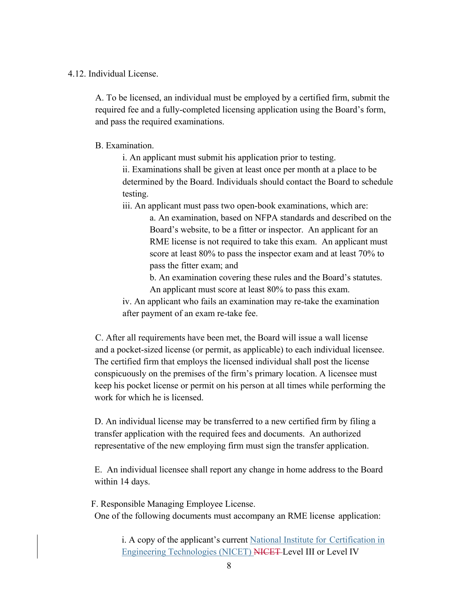### 4.12. Individual License.

A. To be licensed, an individual must be employed by a certified firm, submit the required fee and a fully-completed licensing application using the Board's form, and pass the required examinations.

B. Examination.

i. An applicant must submit his application prior to testing.

ii. Examinations shall be given at least once per month at a place to be determined by the Board. Individuals should contact the Board to schedule testing.

iii. An applicant must pass two open-book examinations, which are:

a. An examination, based on NFPA standards and described on the Board's website, to be a fitter or inspector. An applicant for an RME license is not required to take this exam. An applicant must score at least 80% to pass the inspector exam and at least 70% to pass the fitter exam; and

b. An examination covering these rules and the Board's statutes. An applicant must score at least 80% to pass this exam.

iv. An applicant who fails an examination may re-take the examination after payment of an exam re-take fee.

C. After all requirements have been met, the Board will issue a wall license and a pocket-sized license (or permit, as applicable) to each individual licensee. The certified firm that employs the licensed individual shall post the license conspicuously on the premises of the firm's primary location. A licensee must keep his pocket license or permit on his person at all times while performing the work for which he is licensed.

D. An individual license may be transferred to a new certified firm by filing a transfer application with the required fees and documents. An authorized representative of the new employing firm must sign the transfer application.

E. An individual licensee shall report any change in home address to the Board within 14 days.

F. Responsible Managing Employee License. One of the following documents must accompany an RME license application:

> i. A copy of the applicant's current National Institute for Certification in Engineering Technologies (NICET) NICET Level III or Level IV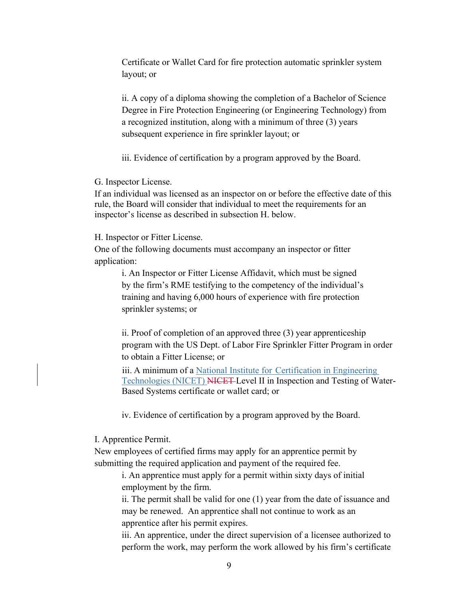Certificate or Wallet Card for fire protection automatic sprinkler system layout; or

ii. A copy of a diploma showing the completion of a Bachelor of Science Degree in Fire Protection Engineering (or Engineering Technology) from a recognized institution, along with a minimum of three (3) years subsequent experience in fire sprinkler layout; or

iii. Evidence of certification by a program approved by the Board.

G. Inspector License.

If an individual was licensed as an inspector on or before the effective date of this rule, the Board will consider that individual to meet the requirements for an inspector's license as described in subsection H. below.

H. Inspector or Fitter License.

One of the following documents must accompany an inspector or fitter application:

> i. An Inspector or Fitter License Affidavit, which must be signed by the firm's RME testifying to the competency of the individual's training and having 6,000 hours of experience with fire protection sprinkler systems; or

ii. Proof of completion of an approved three (3) year apprenticeship program with the US Dept. of Labor Fire Sprinkler Fitter Program in order to obtain a Fitter License; or

iii. A minimum of a National Institute for Certification in Engineering Technologies (NICET) NICET Level II in Inspection and Testing of Water-Based Systems certificate or wallet card; or

iv. Evidence of certification by a program approved by the Board.

I. Apprentice Permit.

New employees of certified firms may apply for an apprentice permit by submitting the required application and payment of the required fee.

i. An apprentice must apply for a permit within sixty days of initial employment by the firm.

ii. The permit shall be valid for one (1) year from the date of issuance and may be renewed. An apprentice shall not continue to work as an apprentice after his permit expires.

iii. An apprentice, under the direct supervision of a licensee authorized to perform the work, may perform the work allowed by his firm's certificate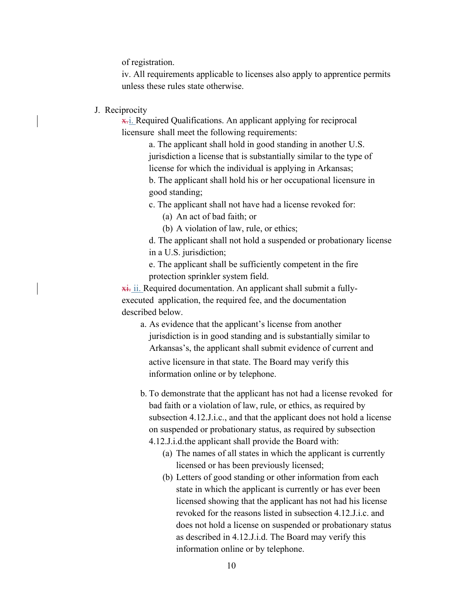of registration.

iv. All requirements applicable to licenses also apply to apprentice permits unless these rules state otherwise.

J. Reciprocity

**x.** Required Qualifications. An applicant applying for reciprocal licensure shall meet the following requirements:

> a. The applicant shall hold in good standing in another U.S. jurisdiction a license that is substantially similar to the type of license for which the individual is applying in Arkansas; b. The applicant shall hold his or her occupational licensure in good standing;

c. The applicant shall not have had a license revoked for:

(a) An act of bad faith; or

(b) A violation of law, rule, or ethics;

d. The applicant shall not hold a suspended or probationary license in a U.S. jurisdiction;

e. The applicant shall be sufficiently competent in the fire protection sprinkler system field.

**xi.** ii. Required documentation. An applicant shall submit a fullyexecuted application, the required fee, and the documentation described below.

a. As evidence that the applicant's license from another jurisdiction is in good standing and is substantially similar to Arkansas's, the applicant shall submit evidence of current and active licensure in that state. The Board may verify this information online or by telephone.

b. To demonstrate that the applicant has not had a license revoked for bad faith or a violation of law, rule, or ethics, as required by subsection 4.12.J.i.c., and that the applicant does not hold a license on suspended or probationary status, as required by subsection

4.12.J.i.d.the applicant shall provide the Board with:

- (a) The names of all states in which the applicant is currently licensed or has been previously licensed;
- (b) Letters of good standing or other information from each state in which the applicant is currently or has ever been licensed showing that the applicant has not had his license revoked for the reasons listed in subsection 4.12.J.i.c. and does not hold a license on suspended or probationary status as described in 4.12.J.i.d. The Board may verify this information online or by telephone.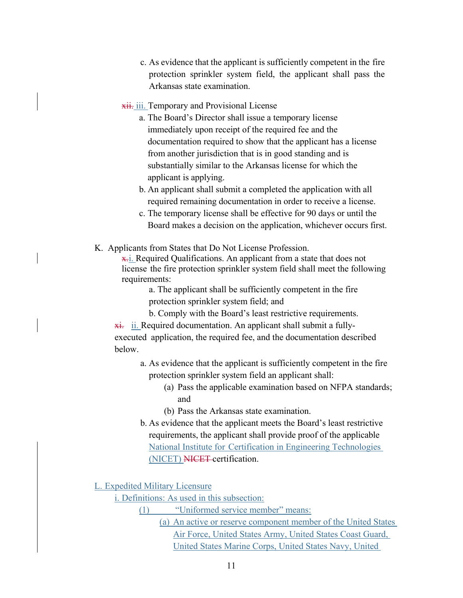c. As evidence that the applicant is sufficiently competent in the fire protection sprinkler system field, the applicant shall pass the Arkansas state examination.

### **xii.** iii. Temporary and Provisional License

- a. The Board's Director shall issue a temporary license immediately upon receipt of the required fee and the documentation required to show that the applicant has a license from another jurisdiction that is in good standing and is substantially similar to the Arkansas license for which the applicant is applying.
- b. An applicant shall submit a completed the application with all required remaining documentation in order to receive a license.
- c. The temporary license shall be effective for 90 days or until the Board makes a decision on the application, whichever occurs first.
- K. Applicants from States that Do Not License Profession.

 $\overline{x}$ . Required Qualifications. An applicant from a state that does not license the fire protection sprinkler system field shall meet the following requirements:

> a. The applicant shall be sufficiently competent in the fire protection sprinkler system field; and

> b. Comply with the Board's least restrictive requirements.

 $\overline{\text{xi}}$ . ii. Required documentation. An applicant shall submit a fullyexecuted application, the required fee, and the documentation described below.

- a. As evidence that the applicant is sufficiently competent in the fire protection sprinkler system field an applicant shall:
	- (a) Pass the applicable examination based on NFPA standards; and
	- (b) Pass the Arkansas state examination.
- b. As evidence that the applicant meets the Board's least restrictive requirements, the applicant shall provide proof of the applicable National Institute for Certification in Engineering Technologies (NICET) NICET certification.

L. Expedited Military Licensure

i. Definitions: As used in this subsection:

- (1) "Uniformed service member" means:
	- (a) An active or reserve component member of the United States Air Force, United States Army, United States Coast Guard, United States Marine Corps, United States Navy, United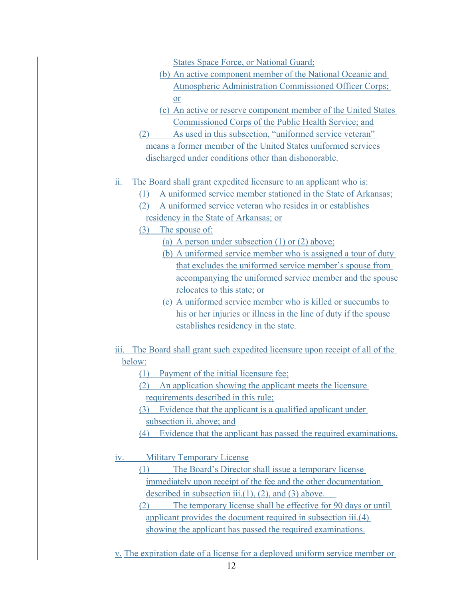States Space Force, or National Guard;

- (b) An active component member of the National Oceanic and Atmospheric Administration Commissioned Officer Corps; or
- (c) An active or reserve component member of the United States Commissioned Corps of the Public Health Service; and
- (2) As used in this subsection, "uniformed service veteran" means a former member of the United States uniformed services discharged under conditions other than dishonorable.
- ii. The Board shall grant expedited licensure to an applicant who is:
	- (1) A uniformed service member stationed in the State of Arkansas;
	- (2) A uniformed service veteran who resides in or establishes residency in the State of Arkansas; or
	- (3) The spouse of:
		- (a) A person under subsection (1) or (2) above;
		- (b) A uniformed service member who is assigned a tour of duty that excludes the uniformed service member's spouse from accompanying the uniformed service member and the spouse relocates to this state; or
		- (c) A uniformed service member who is killed or succumbs to his or her injuries or illness in the line of duty if the spouse establishes residency in the state.
- iii. The Board shall grant such expedited licensure upon receipt of all of the below:
	- (1) Payment of the initial licensure fee;
	- (2) An application showing the applicant meets the licensure requirements described in this rule;
	- (3) Evidence that the applicant is a qualified applicant under subsection ii. above; and
	- (4) Evidence that the applicant has passed the required examinations.
- iv. Military Temporary License
	- (1) The Board's Director shall issue a temporary license immediately upon receipt of the fee and the other documentation described in subsection iii. $(1)$ ,  $(2)$ , and  $(3)$  above.
	- (2) The temporary license shall be effective for 90 days or until applicant provides the document required in subsection iii.(4) showing the applicant has passed the required examinations.
- v. The expiration date of a license for a deployed uniform service member or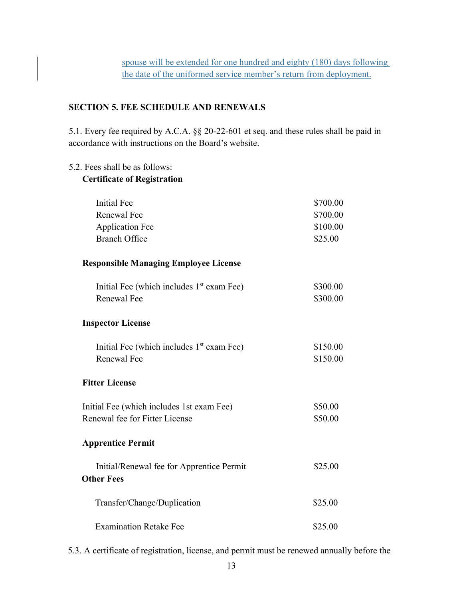# **SECTION 5. FEE SCHEDULE AND RENEWALS**

5.1. Every fee required by A.C.A. §§ 20-22-601 et seq. and these rules shall be paid in accordance with instructions on the Board's website.

### 5.2. Fees shall be as follows:

# **Certificate of Registration**

| <b>Initial Fee</b>                                    | \$700.00 |
|-------------------------------------------------------|----------|
| <b>Renewal Fee</b>                                    | \$700.00 |
| <b>Application Fee</b>                                | \$100.00 |
| <b>Branch Office</b>                                  | \$25.00  |
| <b>Responsible Managing Employee License</b>          |          |
| Initial Fee (which includes $1st$ exam Fee)           | \$300.00 |
| <b>Renewal Fee</b>                                    | \$300.00 |
| <b>Inspector License</b>                              |          |
| Initial Fee (which includes 1 <sup>st</sup> exam Fee) | \$150.00 |
| <b>Renewal Fee</b>                                    | \$150.00 |
| <b>Fitter License</b>                                 |          |
| Initial Fee (which includes 1st exam Fee)             | \$50.00  |
| Renewal fee for Fitter License                        | \$50.00  |
| <b>Apprentice Permit</b>                              |          |
| Initial/Renewal fee for Apprentice Permit             | \$25.00  |
| <b>Other Fees</b>                                     |          |
| Transfer/Change/Duplication                           | \$25.00  |
| <b>Examination Retake Fee</b>                         | \$25.00  |

5.3. A certificate of registration, license, and permit must be renewed annually before the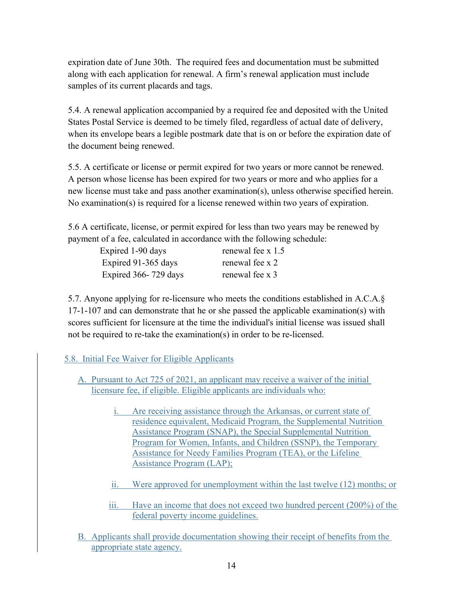expiration date of June 30th. The required fees and documentation must be submitted along with each application for renewal. A firm's renewal application must include samples of its current placards and tags.

5.4. A renewal application accompanied by a required fee and deposited with the United States Postal Service is deemed to be timely filed, regardless of actual date of delivery, when its envelope bears a legible postmark date that is on or before the expiration date of the document being renewed.

5.5. A certificate or license or permit expired for two years or more cannot be renewed. A person whose license has been expired for two years or more and who applies for a new license must take and pass another examination(s), unless otherwise specified herein. No examination(s) is required for a license renewed within two years of expiration.

5.6 A certificate, license, or permit expired for less than two years may be renewed by payment of a fee, calculated in accordance with the following schedule:

| Expired 1-90 days    | renewal fee x 1.5 |
|----------------------|-------------------|
| Expired 91-365 days  | renewal fee x 2   |
| Expired 366-729 days | renewal fee x 3   |

5.7. Anyone applying for re-licensure who meets the conditions established in A.C.A.§ 17-1-107 and can demonstrate that he or she passed the applicable examination(s) with scores sufficient for licensure at the time the individual's initial license was issued shall not be required to re-take the examination(s) in order to be re-licensed.

# 5.8. Initial Fee Waiver for Eligible Applicants

- A. Pursuant to Act 725 of 2021, an applicant may receive a waiver of the initial licensure fee, if eligible. Eligible applicants are individuals who:
	- i. Are receiving assistance through the Arkansas, or current state of residence equivalent, Medicaid Program, the Supplemental Nutrition Assistance Program (SNAP), the Special Supplemental Nutrition Program for Women, Infants, and Children (SSNP), the Temporary Assistance for Needy Families Program (TEA), or the Lifeline Assistance Program (LAP);
	- ii. Were approved for unemployment within the last twelve (12) months; or
	- iii. Have an income that does not exceed two hundred percent (200%) of the federal poverty income guidelines.
- B. Applicants shall provide documentation showing their receipt of benefits from the appropriate state agency.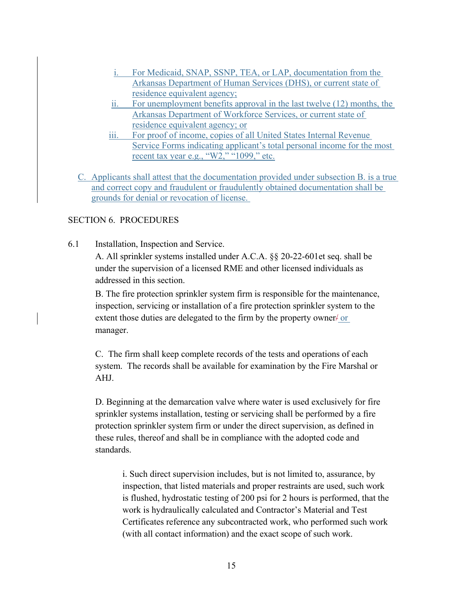- i. For Medicaid, SNAP, SSNP, TEA, or LAP, documentation from the Arkansas Department of Human Services (DHS), or current state of residence equivalent agency;
- ii. For unemployment benefits approval in the last twelve (12) months, the Arkansas Department of Workforce Services, or current state of residence equivalent agency; or
- iii. For proof of income, copies of all United States Internal Revenue Service Forms indicating applicant's total personal income for the most recent tax year e.g., " $W2$ ," "1099," etc.
- C. Applicants shall attest that the documentation provided under subsection B. is a true and correct copy and fraudulent or fraudulently obtained documentation shall be grounds for denial or revocation of license.

# SECTION 6. PROCEDURES

6.1 Installation, Inspection and Service.

A. All sprinkler systems installed under A.C.A. §§ 20-22-601et seq. shall be under the supervision of a licensed RME and other licensed individuals as addressed in this section.

B. The fire protection sprinkler system firm is responsible for the maintenance, inspection, servicing or installation of a fire protection sprinkler system to the extent those duties are delegated to the firm by the property owner  $\frac{1}{x}$  or manager.

C. The firm shall keep complete records of the tests and operations of each system. The records shall be available for examination by the Fire Marshal or AHJ.

D. Beginning at the demarcation valve where water is used exclusively for fire sprinkler systems installation, testing or servicing shall be performed by a fire protection sprinkler system firm or under the direct supervision, as defined in these rules, thereof and shall be in compliance with the adopted code and standards.

i. Such direct supervision includes, but is not limited to, assurance, by inspection, that listed materials and proper restraints are used, such work is flushed, hydrostatic testing of 200 psi for 2 hours is performed, that the work is hydraulically calculated and Contractor's Material and Test Certificates reference any subcontracted work, who performed such work (with all contact information) and the exact scope of such work.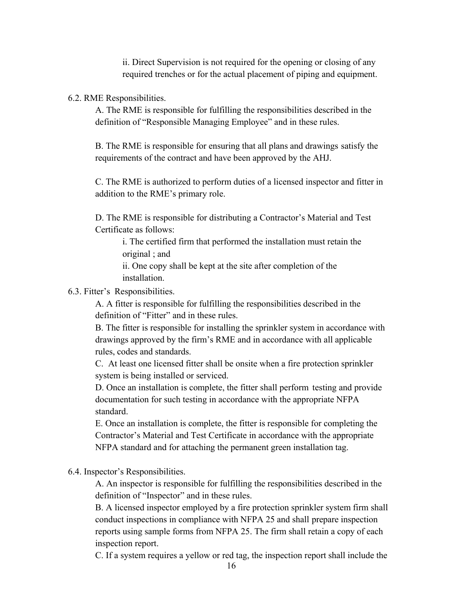ii. Direct Supervision is not required for the opening or closing of any required trenches or for the actual placement of piping and equipment.

#### 6.2. RME Responsibilities.

A. The RME is responsible for fulfilling the responsibilities described in the definition of "Responsible Managing Employee" and in these rules.

B. The RME is responsible for ensuring that all plans and drawings satisfy the requirements of the contract and have been approved by the AHJ.

C. The RME is authorized to perform duties of a licensed inspector and fitter in addition to the RME's primary role.

D. The RME is responsible for distributing a Contractor's Material and Test Certificate as follows:

i. The certified firm that performed the installation must retain the original ; and

ii. One copy shall be kept at the site after completion of the installation.

### 6.3. Fitter's Responsibilities.

A. A fitter is responsible for fulfilling the responsibilities described in the definition of "Fitter" and in these rules.

B. The fitter is responsible for installing the sprinkler system in accordance with drawings approved by the firm's RME and in accordance with all applicable rules, codes and standards.

C. At least one licensed fitter shall be onsite when a fire protection sprinkler system is being installed or serviced.

D. Once an installation is complete, the fitter shall perform testing and provide documentation for such testing in accordance with the appropriate NFPA standard.

E. Once an installation is complete, the fitter is responsible for completing the Contractor's Material and Test Certificate in accordance with the appropriate NFPA standard and for attaching the permanent green installation tag.

6.4. Inspector's Responsibilities.

A. An inspector is responsible for fulfilling the responsibilities described in the definition of "Inspector" and in these rules.

B. A licensed inspector employed by a fire protection sprinkler system firm shall conduct inspections in compliance with NFPA 25 and shall prepare inspection reports using sample forms from NFPA 25. The firm shall retain a copy of each inspection report.

C. If a system requires a yellow or red tag, the inspection report shall include the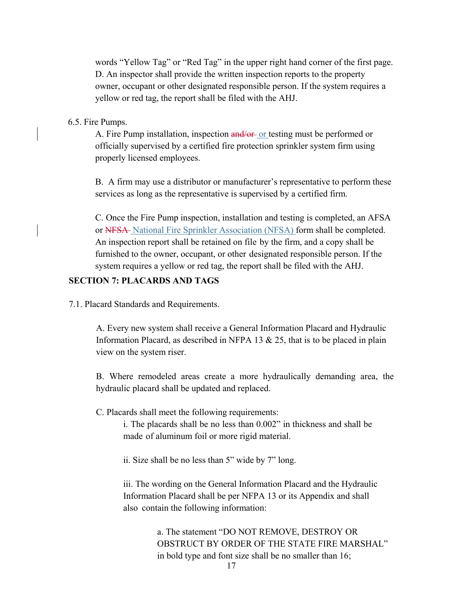words "Yellow Tag" or "Red Tag" in the upper right hand corner of the first page. D. An inspector shall provide the written inspection reports to the property owner, occupant or other designated responsible person. If the system requires a yellow or red tag, the report shall be filed with the AHJ.

### 6.5. Fire Pumps.

A. Fire Pump installation, inspection and/or or testing must be performed or officially supervised by a certified fire protection sprinkler system firm using properly licensed employees.

B. A firm may use a distributor or manufacturer's representative to perform these services as long as the representative is supervised by a certified firm.

C. Once the Fire Pump inspection, installation and testing is completed, an AFSA or NFSA National Fire Sprinkler Association (NFSA) form shall be completed. An inspection report shall be retained on file by the firm, and a copy shall be furnished to the owner, occupant, or other designated responsible person. If the system requires a yellow or red tag, the report shall be filed with the AHJ.

### **SECTION 7: PLACARDS AND TAGS**

7.1. Placard Standards and Requirements.

A. Every new system shall receive a General Information Placard and Hydraulic Information Placard, as described in NFPA 13  $& 25$ , that is to be placed in plain view on the system riser.

B. Where remodeled areas create a more hydraulically demanding area, the hydraulic placard shall be updated and replaced.

C. Placards shall meet the following requirements:

i. The placards shall be no less than 0.002" in thickness and shall be made of aluminum foil or more rigid material.

ii. Size shall be no less than 5" wide by 7" long.

iii. The wording on the General Information Placard and the Hydraulic Information Placard shall be per NFPA 13 or its Appendix and shall also contain the following information:

> a. The statement "DO NOT REMOVE, DESTROY OR OBSTRUCT BY ORDER OF THE STATE FIRE MARSHAL" in bold type and font size shall be no smaller than 16;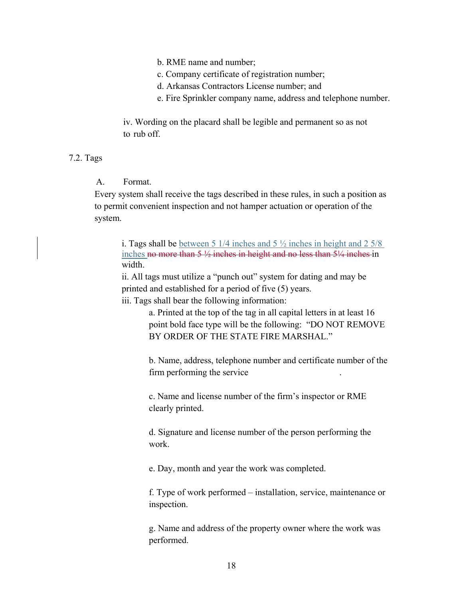b. RME name and number;

- c. Company certificate of registration number;
- d. Arkansas Contractors License number; and
- e. Fire Sprinkler company name, address and telephone number.

iv. Wording on the placard shall be legible and permanent so as not to rub off.

### 7.2. Tags

### A. Format.

Every system shall receive the tags described in these rules, in such a position as to permit convenient inspection and not hamper actuation or operation of the system.

i. Tags shall be between 5 1/4 inches and 5  $\frac{1}{2}$  inches in height and 2 5/8 inches no more than  $5\frac{1}{2}$  inches in height and no less than  $5\frac{1}{4}$  inches in width.

ii. All tags must utilize a "punch out" system for dating and may be printed and established for a period of five (5) years.

iii. Tags shall bear the following information:

a. Printed at the top of the tag in all capital letters in at least 16 point bold face type will be the following: "DO NOT REMOVE BY ORDER OF THE STATE FIRE MARSHAL."

b. Name, address, telephone number and certificate number of the firm performing the service.

c. Name and license number of the firm's inspector or RME clearly printed.

d. Signature and license number of the person performing the work.

e. Day, month and year the work was completed.

f. Type of work performed – installation, service, maintenance or inspection.

g. Name and address of the property owner where the work was performed.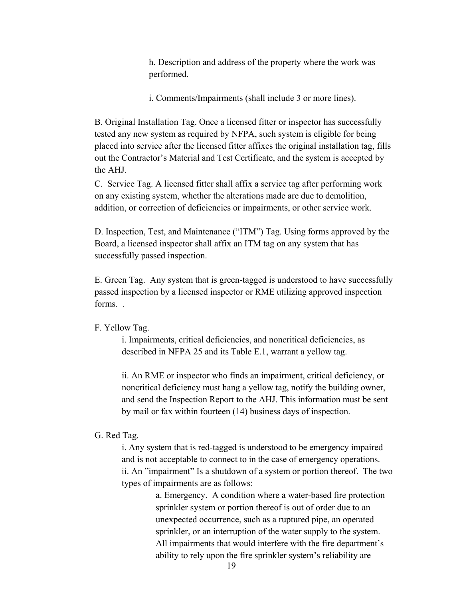h. Description and address of the property where the work was performed.

i. Comments/Impairments (shall include 3 or more lines).

B. Original Installation Tag. Once a licensed fitter or inspector has successfully tested any new system as required by NFPA, such system is eligible for being placed into service after the licensed fitter affixes the original installation tag, fills out the Contractor's Material and Test Certificate, and the system is accepted by the AHJ.

C. Service Tag. A licensed fitter shall affix a service tag after performing work on any existing system, whether the alterations made are due to demolition, addition, or correction of deficiencies or impairments, or other service work.

D. Inspection, Test, and Maintenance ("ITM") Tag. Using forms approved by the Board, a licensed inspector shall affix an ITM tag on any system that has successfully passed inspection.

E. Green Tag. Any system that is green-tagged is understood to have successfully passed inspection by a licensed inspector or RME utilizing approved inspection forms. .

### F. Yellow Tag.

i. Impairments, critical deficiencies, and noncritical deficiencies, as described in NFPA 25 and its Table E.1, warrant a yellow tag.

ii. An RME or inspector who finds an impairment, critical deficiency, or noncritical deficiency must hang a yellow tag, notify the building owner, and send the Inspection Report to the AHJ. This information must be sent by mail or fax within fourteen (14) business days of inspection.

### G. Red Tag.

i. Any system that is red-tagged is understood to be emergency impaired and is not acceptable to connect to in the case of emergency operations. ii. An "impairment" Is a shutdown of a system or portion thereof. The two types of impairments are as follows:

> a. Emergency. A condition where a water-based fire protection sprinkler system or portion thereof is out of order due to an unexpected occurrence, such as a ruptured pipe, an operated sprinkler, or an interruption of the water supply to the system. All impairments that would interfere with the fire department's ability to rely upon the fire sprinkler system's reliability are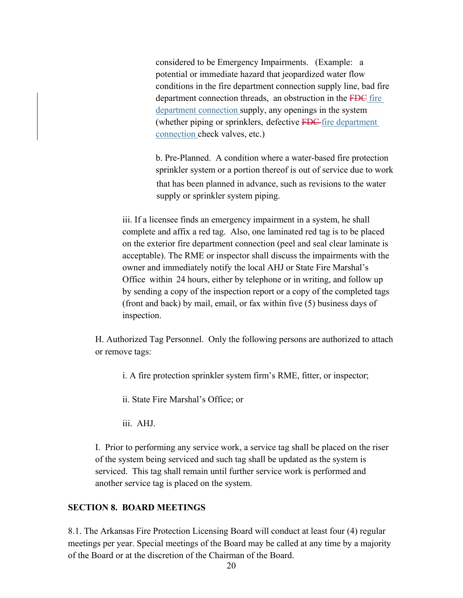considered to be Emergency Impairments. (Example: a potential or immediate hazard that jeopardized water flow conditions in the fire department connection supply line, bad fire department connection threads, an obstruction in the FDC fire department connection supply, any openings in the system (whether piping or sprinklers, defective FDC fire department connection check valves, etc.)

b. Pre-Planned. A condition where a water-based fire protection sprinkler system or a portion thereof is out of service due to work that has been planned in advance, such as revisions to the water supply or sprinkler system piping.

iii. If a licensee finds an emergency impairment in a system, he shall complete and affix a red tag. Also, one laminated red tag is to be placed on the exterior fire department connection (peel and seal clear laminate is acceptable). The RME or inspector shall discuss the impairments with the owner and immediately notify the local AHJ or State Fire Marshal's Office within 24 hours, either by telephone or in writing, and follow up by sending a copy of the inspection report or a copy of the completed tags (front and back) by mail, email, or fax within five (5) business days of inspection.

H. Authorized Tag Personnel. Only the following persons are authorized to attach or remove tags:

i. A fire protection sprinkler system firm's RME, fitter, or inspector;

ii. State Fire Marshal's Office; or

iii. AHJ.

I. Prior to performing any service work, a service tag shall be placed on the riser of the system being serviced and such tag shall be updated as the system is serviced. This tag shall remain until further service work is performed and another service tag is placed on the system.

# **SECTION 8. BOARD MEETINGS**

8.1. The Arkansas Fire Protection Licensing Board will conduct at least four (4) regular meetings per year. Special meetings of the Board may be called at any time by a majority of the Board or at the discretion of the Chairman of the Board.

20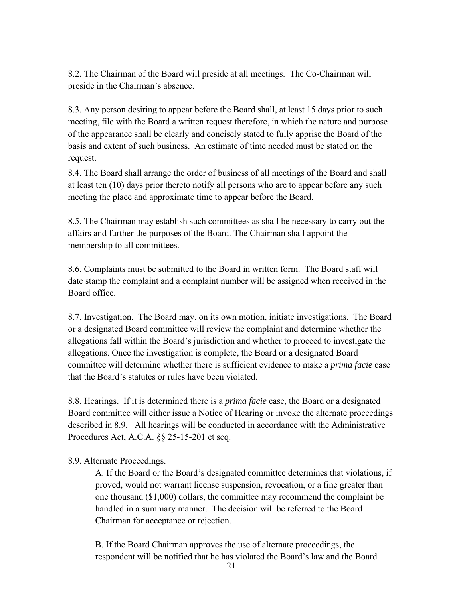8.2. The Chairman of the Board will preside at all meetings. The Co-Chairman will preside in the Chairman's absence.

8.3. Any person desiring to appear before the Board shall, at least 15 days prior to such meeting, file with the Board a written request therefore, in which the nature and purpose of the appearance shall be clearly and concisely stated to fully apprise the Board of the basis and extent of such business. An estimate of time needed must be stated on the request.

8.4. The Board shall arrange the order of business of all meetings of the Board and shall at least ten (10) days prior thereto notify all persons who are to appear before any such meeting the place and approximate time to appear before the Board.

8.5. The Chairman may establish such committees as shall be necessary to carry out the affairs and further the purposes of the Board. The Chairman shall appoint the membership to all committees.

8.6. Complaints must be submitted to the Board in written form. The Board staff will date stamp the complaint and a complaint number will be assigned when received in the Board office.

8.7. Investigation. The Board may, on its own motion, initiate investigations. The Board or a designated Board committee will review the complaint and determine whether the allegations fall within the Board's jurisdiction and whether to proceed to investigate the allegations. Once the investigation is complete, the Board or a designated Board committee will determine whether there is sufficient evidence to make a *prima facie* case that the Board's statutes or rules have been violated.

8.8. Hearings. If it is determined there is a *prima facie* case, the Board or a designated Board committee will either issue a Notice of Hearing or invoke the alternate proceedings described in 8.9. All hearings will be conducted in accordance with the Administrative Procedures Act, A.C.A. §§ 25-15-201 et seq.

### 8.9. Alternate Proceedings.

A. If the Board or the Board's designated committee determines that violations, if proved, would not warrant license suspension, revocation, or a fine greater than one thousand (\$1,000) dollars, the committee may recommend the complaint be handled in a summary manner. The decision will be referred to the Board Chairman for acceptance or rejection.

B. If the Board Chairman approves the use of alternate proceedings, the respondent will be notified that he has violated the Board's law and the Board